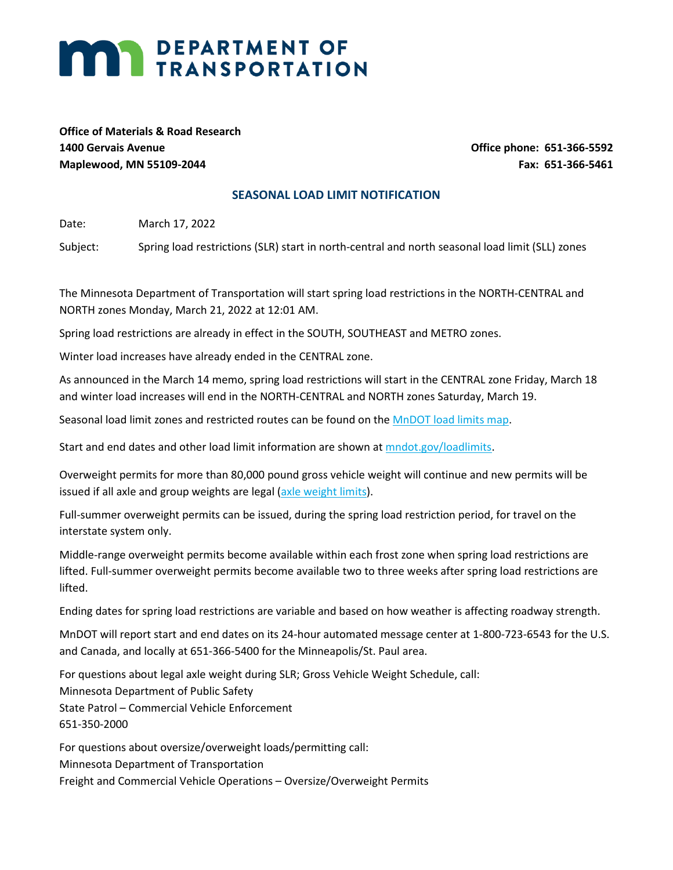## **MARI DEPARTMENT OF TRANSPORTATION**

**Office of Materials & Road Research 1400 Gervais Avenue Office phone: 651-366-5592 Maplewood, MN 55109-2044 Fax: 651-366-5461**

## **SEASONAL LOAD LIMIT NOTIFICATION**

Date: March 17, 2022

Subject: Spring load restrictions (SLR) start in north-central and north seasonal load limit (SLL) zones

The Minnesota Department of Transportation will start spring load restrictions in the NORTH-CENTRAL and NORTH zones Monday, March 21, 2022 at 12:01 AM.

Spring load restrictions are already in effect in the SOUTH, SOUTHEAST and METRO zones.

Winter load increases have already ended in the CENTRAL zone.

As announced in the March 14 memo, spring load restrictions will start in the CENTRAL zone Friday, March 18 and winter load increases will end in the NORTH-CENTRAL and NORTH zones Saturday, March 19.

Seasonal load limit zones and restricted routes can be found on the [MnDOT load limits map.](https://www.dot.state.mn.us/materials/pvmtdesign/sll/maps.html)

Start and end dates and other load limit information are shown at [mndot.gov/loadlimits.](http://www.dot.state.mn.us/materials/pvmtdesign/sll)

Overweight permits for more than 80,000 pound gross vehicle weight will continue and new permits will be issued if all axle and group weights are legal [\(axle weight limits\)](http://www.dot.state.mn.us/cvo/oversize/allowable-axle-weights.html).

Full-summer overweight permits can be issued, during the spring load restriction period, for travel on the interstate system only.

Middle-range overweight permits become available within each frost zone when spring load restrictions are lifted. Full-summer overweight permits become available two to three weeks after spring load restrictions are lifted.

Ending dates for spring load restrictions are variable and based on how weather is affecting roadway strength.

MnDOT will report start and end dates on its 24-hour automated message center at 1-800-723-6543 for the U.S. and Canada, and locally at 651-366-5400 for the Minneapolis/St. Paul area.

For questions about legal axle weight during SLR; Gross Vehicle Weight Schedule, call: Minnesota Department of Public Safety State Patrol – Commercial Vehicle Enforcement 651-350-2000

For questions about oversize/overweight loads/permitting call: Minnesota Department of Transportation Freight and Commercial Vehicle Operations – Oversize/Overweight Permits